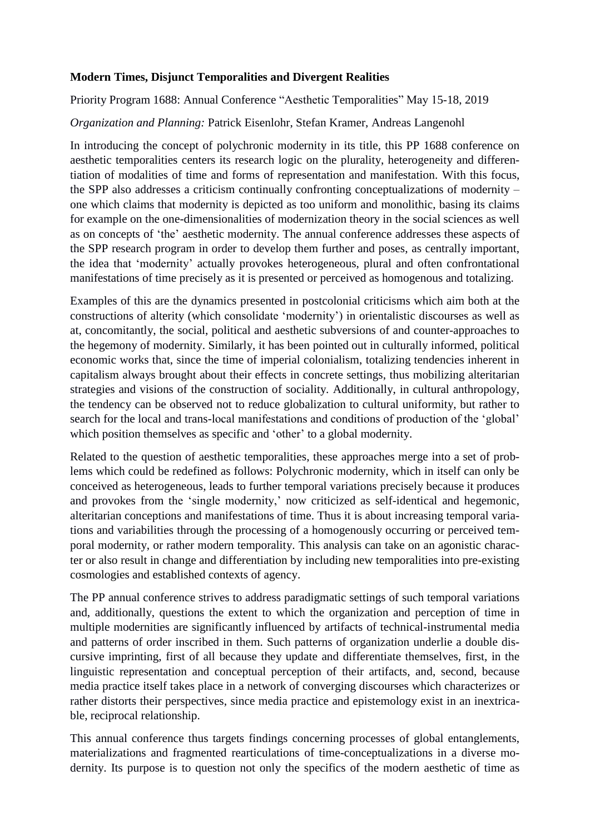### **Modern Times, Disjunct Temporalities and Divergent Realities**

Priority Program 1688: Annual Conference "Aesthetic Temporalities" May 15-18, 2019

### *Organization and Planning:* Patrick Eisenlohr, Stefan Kramer, Andreas Langenohl

In introducing the concept of polychronic modernity in its title, this PP 1688 conference on aesthetic temporalities centers its research logic on the plurality, heterogeneity and differentiation of modalities of time and forms of representation and manifestation. With this focus, the SPP also addresses a criticism continually confronting conceptualizations of modernity – one which claims that modernity is depicted as too uniform and monolithic, basing its claims for example on the one-dimensionalities of modernization theory in the social sciences as well as on concepts of 'the' aesthetic modernity. The annual conference addresses these aspects of the SPP research program in order to develop them further and poses, as centrally important, the idea that 'modernity' actually provokes heterogeneous, plural and often confrontational manifestations of time precisely as it is presented or perceived as homogenous and totalizing.

Examples of this are the dynamics presented in postcolonial criticisms which aim both at the constructions of alterity (which consolidate 'modernity') in orientalistic discourses as well as at, concomitantly, the social, political and aesthetic subversions of and counter-approaches to the hegemony of modernity. Similarly, it has been pointed out in culturally informed, political economic works that, since the time of imperial colonialism, totalizing tendencies inherent in capitalism always brought about their effects in concrete settings, thus mobilizing alteritarian strategies and visions of the construction of sociality. Additionally, in cultural anthropology, the tendency can be observed not to reduce globalization to cultural uniformity, but rather to search for the local and trans-local manifestations and conditions of production of the 'global' which position themselves as specific and 'other' to a global modernity.

Related to the question of aesthetic temporalities, these approaches merge into a set of problems which could be redefined as follows: Polychronic modernity, which in itself can only be conceived as heterogeneous, leads to further temporal variations precisely because it produces and provokes from the 'single modernity,' now criticized as self-identical and hegemonic, alteritarian conceptions and manifestations of time. Thus it is about increasing temporal variations and variabilities through the processing of a homogenously occurring or perceived temporal modernity, or rather modern temporality. This analysis can take on an agonistic character or also result in change and differentiation by including new temporalities into pre-existing cosmologies and established contexts of agency.

The PP annual conference strives to address paradigmatic settings of such temporal variations and, additionally, questions the extent to which the organization and perception of time in multiple modernities are significantly influenced by artifacts of technical-instrumental media and patterns of order inscribed in them. Such patterns of organization underlie a double discursive imprinting, first of all because they update and differentiate themselves, first, in the linguistic representation and conceptual perception of their artifacts, and, second, because media practice itself takes place in a network of converging discourses which characterizes or rather distorts their perspectives, since media practice and epistemology exist in an inextricable, reciprocal relationship.

This annual conference thus targets findings concerning processes of global entanglements, materializations and fragmented rearticulations of time-conceptualizations in a diverse modernity. Its purpose is to question not only the specifics of the modern aesthetic of time as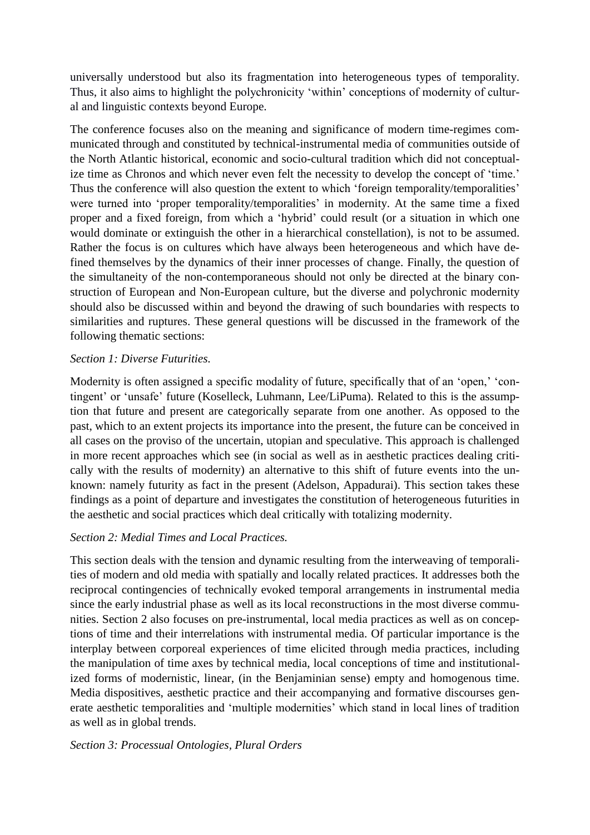universally understood but also its fragmentation into heterogeneous types of temporality. Thus, it also aims to highlight the polychronicity 'within' conceptions of modernity of cultural and linguistic contexts beyond Europe.

The conference focuses also on the meaning and significance of modern time-regimes communicated through and constituted by technical-instrumental media of communities outside of the North Atlantic historical, economic and socio-cultural tradition which did not conceptualize time as Chronos and which never even felt the necessity to develop the concept of 'time.' Thus the conference will also question the extent to which 'foreign temporality/temporalities' were turned into 'proper temporality/temporalities' in modernity. At the same time a fixed proper and a fixed foreign, from which a 'hybrid' could result (or a situation in which one would dominate or extinguish the other in a hierarchical constellation), is not to be assumed. Rather the focus is on cultures which have always been heterogeneous and which have defined themselves by the dynamics of their inner processes of change. Finally, the question of the simultaneity of the non-contemporaneous should not only be directed at the binary construction of European and Non-European culture, but the diverse and polychronic modernity should also be discussed within and beyond the drawing of such boundaries with respects to similarities and ruptures. These general questions will be discussed in the framework of the following thematic sections:

## *Section 1: Diverse Futurities.*

Modernity is often assigned a specific modality of future, specifically that of an 'open,' 'contingent' or 'unsafe' future (Koselleck, Luhmann, Lee/LiPuma). Related to this is the assumption that future and present are categorically separate from one another. As opposed to the past, which to an extent projects its importance into the present, the future can be conceived in all cases on the proviso of the uncertain, utopian and speculative. This approach is challenged in more recent approaches which see (in social as well as in aesthetic practices dealing critically with the results of modernity) an alternative to this shift of future events into the unknown: namely futurity as fact in the present (Adelson, Appadurai). This section takes these findings as a point of departure and investigates the constitution of heterogeneous futurities in the aesthetic and social practices which deal critically with totalizing modernity.

# *Section 2: Medial Times and Local Practices.*

This section deals with the tension and dynamic resulting from the interweaving of temporalities of modern and old media with spatially and locally related practices. It addresses both the reciprocal contingencies of technically evoked temporal arrangements in instrumental media since the early industrial phase as well as its local reconstructions in the most diverse communities. Section 2 also focuses on pre-instrumental, local media practices as well as on conceptions of time and their interrelations with instrumental media. Of particular importance is the interplay between corporeal experiences of time elicited through media practices, including the manipulation of time axes by technical media, local conceptions of time and institutionalized forms of modernistic, linear, (in the Benjaminian sense) empty and homogenous time. Media dispositives, aesthetic practice and their accompanying and formative discourses generate aesthetic temporalities and 'multiple modernities' which stand in local lines of tradition as well as in global trends.

# *Section 3: Processual Ontologies, Plural Orders*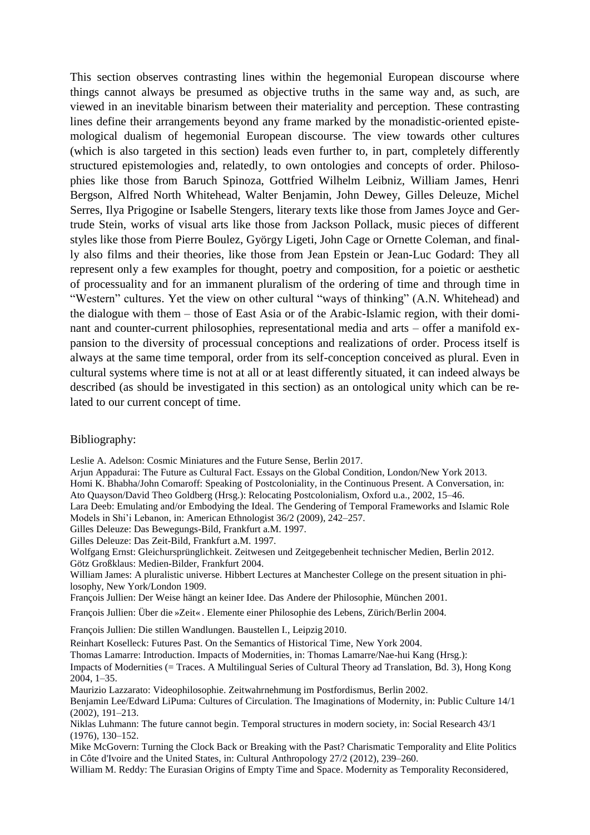This section observes contrasting lines within the hegemonial European discourse where things cannot always be presumed as objective truths in the same way and, as such, are viewed in an inevitable binarism between their materiality and perception. These contrasting lines define their arrangements beyond any frame marked by the monadistic-oriented epistemological dualism of hegemonial European discourse. The view towards other cultures (which is also targeted in this section) leads even further to, in part, completely differently structured epistemologies and, relatedly, to own ontologies and concepts of order. Philosophies like those from Baruch Spinoza, Gottfried Wilhelm Leibniz, William James, Henri Bergson, Alfred North Whitehead, Walter Benjamin, John Dewey, Gilles Deleuze, Michel Serres, Ilya Prigogine or Isabelle Stengers, literary texts like those from James Joyce and Gertrude Stein, works of visual arts like those from Jackson Pollack, music pieces of different styles like those from Pierre Boulez, György Ligeti, John Cage or Ornette Coleman, and finally also films and their theories, like those from Jean Epstein or Jean-Luc Godard: They all represent only a few examples for thought, poetry and composition, for a poietic or aesthetic of processuality and for an immanent pluralism of the ordering of time and through time in "Western" cultures. Yet the view on other cultural "ways of thinking" (A.N. Whitehead) and the dialogue with them – those of East Asia or of the Arabic-Islamic region, with their dominant and counter-current philosophies, representational media and arts – offer a manifold expansion to the diversity of processual conceptions and realizations of order. Process itself is always at the same time temporal, order from its self-conception conceived as plural. Even in cultural systems where time is not at all or at least differently situated, it can indeed always be described (as should be investigated in this section) as an ontological unity which can be related to our current concept of time.

#### Bibliography:

Leslie A. Adelson: Cosmic Miniatures and the Future Sense, Berlin 2017.

Arjun Appadurai: The Future as Cultural Fact. Essays on the Global Condition, London/New York 2013.

Homi K. Bhabha/John Comaroff: Speaking of Postcoloniality, in the Continuous Present. A Conversation, in:

Ato Quayson/David Theo Goldberg (Hrsg.): Relocating Postcolonialism, Oxford u.a., 2002, 15–46.

Lara Deeb: Emulating and/or Embodying the Ideal. The Gendering of Temporal Frameworks and Islamic Role Models in Shi'i Lebanon, in: American Ethnologist 36/2 (2009), 242–257.

Gilles Deleuze: Das Bewegungs-Bild, Frankfurt a.M. 1997.

Gilles Deleuze: Das Zeit-Bild, Frankfurt a.M. 1997.

Wolfgang Ernst: Gleichursprünglichkeit. Zeitwesen und Zeitgegebenheit technischer Medien, Berlin 2012. Götz Großklaus: Medien-Bilder, Frankfurt 2004.

William James: A pluralistic universe. Hibbert Lectures at Manchester College on the present situation in philosophy, New York/London 1909.

François Jullien: Der Weise hängt an keiner Idee. Das Andere der Philosophie, München 2001.

François Jullien: Über die »Zeit« . Elemente einer Philosophie des Lebens, Zürich/Berlin 2004.

François Jullien: Die stillen Wandlungen. Baustellen I., Leipzig 2010.

Reinhart Koselleck: Futures Past. On the Semantics of Historical Time, New York 2004.

Thomas Lamarre: Introduction. Impacts of Modernities, in: Thomas Lamarre/Nae-hui Kang (Hrsg.):

Impacts of Modernities (= Traces. A Multilingual Series of Cultural Theory ad Translation, Bd. 3), Hong Kong 2004, 1–35.

Maurizio Lazzarato: Videophilosophie. Zeitwahrnehmung im Postfordismus, Berlin 2002.

Benjamin Lee/Edward LiPuma: Cultures of Circulation. The Imaginations of Modernity, in: Public Culture 14/1 (2002), 191–213.

Niklas Luhmann: The future cannot begin. Temporal structures in modern society, in: Social Research 43/1 (1976), 130–152.

Mike McGovern: Turning the Clock Back or Breaking with the Past? Charismatic Temporality and Elite Politics in Côte d'Ivoire and the United States, in: Cultural Anthropology 27/2 (2012), 239–260.

William M. Reddy: The Eurasian Origins of Empty Time and Space. Modernity as Temporality Reconsidered,